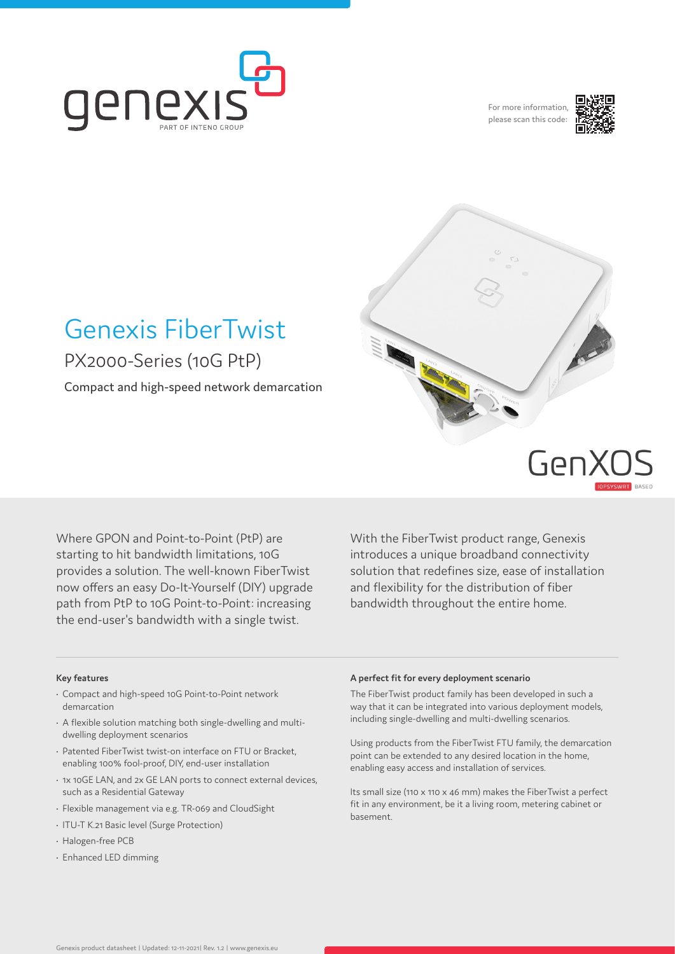

For more information, please scan this code:



# Genexis FiberTwist PX2000-Series (10G PtP)

Compact and high-speed network demarcation



Geni

Where GPON and Point-to-Point (PtP) are starting to hit bandwidth limitations, 10G provides a solution. The well-known FiberTwist now offers an easy Do-It-Yourself (DIY) upgrade path from PtP to 10G Point-to-Point: increasing the end-user's bandwidth with a single twist.

With the FiberTwist product range, Genexis introduces a unique broadband connectivity solution that redefines size, ease of installation and flexibility for the distribution of fiber bandwidth throughout the entire home.

## **Key features**

- Compact and high-speed 10G Point-to-Point network demarcation
- A flexible solution matching both single-dwelling and multidwelling deployment scenarios
- Patented FiberTwist twist-on interface on FTU or Bracket, enabling 100% fool-proof, DIY, end-user installation
- 1x 10GE LAN, and 2x GE LAN ports to connect external devices, such as a Residential Gateway
- Flexible management via e.g. TR-069 and CloudSight
- ITU-T K.21 Basic level (Surge Protection)
- Halogen-free PCB
- Enhanced LED dimming

#### **A perfect fit for every deployment scenario**

The FiberTwist product family has been developed in such a way that it can be integrated into various deployment models, including single-dwelling and multi-dwelling scenarios.

Using products from the FiberTwist FTU family, the demarcation point can be extended to any desired location in the home, enabling easy access and installation of services.

Its small size (110 x 110 x 46 mm) makes the FiberTwist a perfect fit in any environment, be it a living room, metering cabinet or basement.